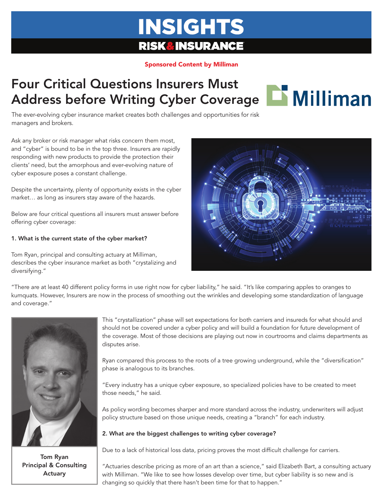# **INSIGHTS RISK&INSURANCE**

#### Sponsored Content by Milliman

### Four Critical Questions Insurers Must Address before Writing Cyber Coverage **BMilliman**



The ever-evolving cyber insurance market creates both challenges and opportunities for risk managers and brokers.

Ask any broker or risk manager what risks concern them most, and "cyber" is bound to be in the top three. Insurers are rapidly responding with new products to provide the protection their clients' need, but the amorphous and ever-evolving nature of cyber exposure poses a constant challenge.

Despite the uncertainty, plenty of opportunity exists in the cyber market… as long as insurers stay aware of the hazards.

Below are four critical questions all insurers must answer before offering cyber coverage:

#### 1. What is the current state of the cyber market?

Tom Ryan, principal and consulting actuary at Milliman, describes the cyber insurance market as both "crystalizing and diversifying."



"There are at least 40 different policy forms in use right now for cyber liability," he said. "It's like comparing apples to oranges to kumquats. However, Insurers are now in the process of smoothing out the wrinkles and developing some standardization of language and coverage."



Tom Ryan Principal & Consulting Actuary

This "crystallization" phase will set expectations for both carriers and insureds for what should and should not be covered under a cyber policy and will build a foundation for future development of the coverage. Most of those decisions are playing out now in courtrooms and claims departments as disputes arise.

Ryan compared this process to the roots of a tree growing underground, while the "diversification" phase is analogous to its branches.

"Every industry has a unique cyber exposure, so specialized policies have to be created to meet those needs," he said.

As policy wording becomes sharper and more standard across the industry, underwriters will adjust policy structure based on those unique needs, creating a "branch" for each industry.

#### 2. What are the biggest challenges to writing cyber coverage?

Due to a lack of historical loss data, pricing proves the most difficult challenge for carriers.

"Actuaries describe pricing as more of an art than a science," said Elizabeth Bart, a consulting actuary with Milliman. "We like to see how losses develop over time, but cyber liability is so new and is changing so quickly that there hasn't been time for that to happen."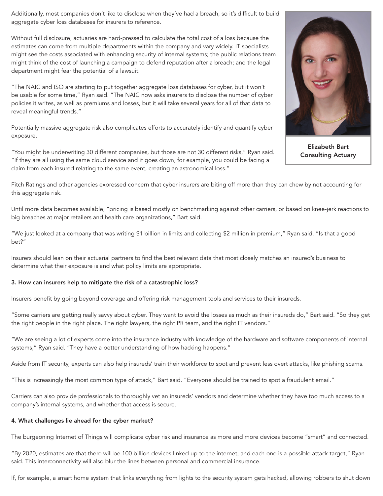Additionally, most companies don't like to disclose when they've had a breach, so it's difficult to build aggregate cyber loss databases for insurers to reference.

Without full disclosure, actuaries are hard-pressed to calculate the total cost of a loss because the estimates can come from multiple departments within the company and vary widely. IT specialists might see the costs associated with enhancing security of internal systems; the public relations team might think of the cost of launching a campaign to defend reputation after a breach; and the legal department might fear the potential of a lawsuit.

"The NAIC and ISO are starting to put together aggregate loss databases for cyber, but it won't be usable for some time," Ryan said. "The NAIC now asks insurers to disclose the number of cyber policies it writes, as well as premiums and losses, but it will take several years for all of that data to reveal meaningful trends."

Potentially massive aggregate risk also complicates efforts to accurately identify and quantify cyber exposure.

"You might be underwriting 30 different companies, but those are not 30 different risks," Ryan said. "If they are all using the same cloud service and it goes down, for example, you could be facing a claim from each insured relating to the same event, creating an astronomical loss."



Elizabeth Bart Consulting Actuary

Fitch Ratings and other agencies expressed concern that cyber insurers are biting off more than they can chew by not accounting for this aggregate risk.

Until more data becomes available, "pricing is based mostly on benchmarking against other carriers, or based on knee-jerk reactions to big breaches at major retailers and health care organizations," Bart said.

"We just looked at a company that was writing \$1 billion in limits and collecting \$2 million in premium," Ryan said. "Is that a good bet?"

Insurers should lean on their actuarial partners to find the best relevant data that most closely matches an insured's business to determine what their exposure is and what policy limits are appropriate.

#### 3. How can insurers help to mitigate the risk of a catastrophic loss?

Insurers benefit by going beyond coverage and offering risk management tools and services to their insureds.

"Some carriers are getting really savvy about cyber. They want to avoid the losses as much as their insureds do," Bart said. "So they get the right people in the right place. The right lawyers, the right PR team, and the right IT vendors."

"We are seeing a lot of experts come into the insurance industry with knowledge of the hardware and software components of internal systems," Ryan said. "They have a better understanding of how hacking happens."

Aside from IT security, experts can also help insureds' train their workforce to spot and prevent less overt attacks, like phishing scams.

"This is increasingly the most common type of attack," Bart said. "Everyone should be trained to spot a fraudulent email."

Carriers can also provide professionals to thoroughly vet an insureds' vendors and determine whether they have too much access to a company's internal systems, and whether that access is secure.

#### 4. What challenges lie ahead for the cyber market?

The burgeoning Internet of Things will complicate cyber risk and insurance as more and more devices become "smart" and connected.

"By 2020, estimates are that there will be 100 billion devices linked up to the internet, and each one is a possible attack target," Ryan said. This interconnectivity will also blur the lines between personal and commercial insurance.

If, for example, a smart home system that links everything from lights to the security system gets hacked, allowing robbers to shut down